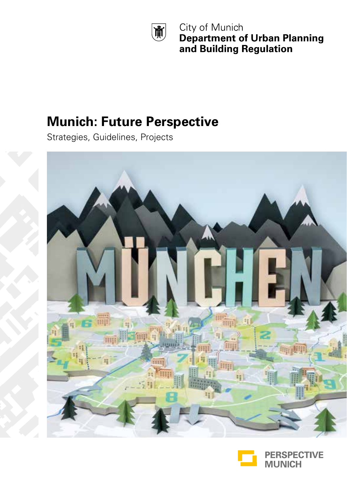

City of Munich **Department of Urban Planning** and Building Regulation

### **Munich: Future Perspective**

Strategies, Guidelines, Projects



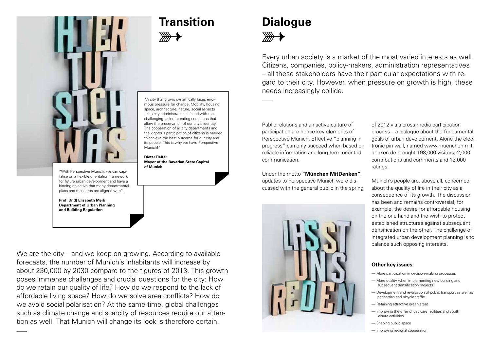

**Transition Dialogue**  $\frac{1}{2}$ 

# $\mathbb{R}$

 $\overline{\phantom{a}}$ 

Every urban society is a market of the most varied interests as well. Citizens, companies, policy-makers, administration representatives – all these stakeholders have their particular expectations with regard to their city. However, when pressure on growth is high, these needs increasingly collide.

Public relations and an active culture of participation are hence key elements of Perspective Munich. Effective "planning in progress" can only succeed when based on reliable information and long-term oriented communication.

Under the motto **"München MitDenken"**, updates to Perspective Munich were discussed with the general public in the spring



of 2012 via a cross-media participation process – a dialogue about the fundamental goals of urban development. Alone the electronic pin wall, named www.muenchen-mitdenken.de brought 198,000 visitors, 2,000 contributions and comments and 12,000 ratings.

Munich's people are, above all, concerned about the quality of life in their city as a consequence of its growth. The discussion has been and remains controversial, for example, the desire for affordable housing on the one hand and the wish to protect established structures against subsequent densification on the other. The challenge of integrated urban development planning is to balance such opposing interests.

#### **Other key issues:**

- More participation in decision-making processes
- More quality when implementing new building and subsequent densification projects
- Development and revaluation of public transport as well as pedestrian and bicycle traffic
- Retaining attractive green areas
- Improving the offer of day care facilities and youth leisure activities
- Shaping public space
- Improving regional cooperation

"A city that grows dynamically faces enormous pressure for change. Mobility, housing space, architecture, nature, social aspects – the city administration is faced with the challenging task of creating conditions that allow the preservation of our city's identity. The cooperation of all city departments and the vigorous participation of citizens is needed to achieve the best outcome for our city and its people. This is why we have Perspective Munich!"

#### **Dieter Reiter Mayor of the Bavarian State Capital of Munich**

"With Perspective Munich, we can capitalise on a flexible orientation framework for future urban development and have a binding objective that many departmental plans and measures are aligned with".

**Prof. Dr.(I) Elisabeth Merk Department of Urban Planning and Building Regulation**

We are the city – and we keep on growing. According to available forecasts, the number of Munich's inhabitants will increase by about 230,000 by 2030 compare to the figures of 2013. This growth poses immense challenges and crucial questions for the city: How do we retain our quality of life? How do we respond to the lack of affordable living space? How do we solve area conflicts? How do we avoid social polarisation? At the same time, global challenges such as climate change and scarcity of resources require our attention as well. That Munich will change its look is therefore certain.  $\overline{\phantom{a}}$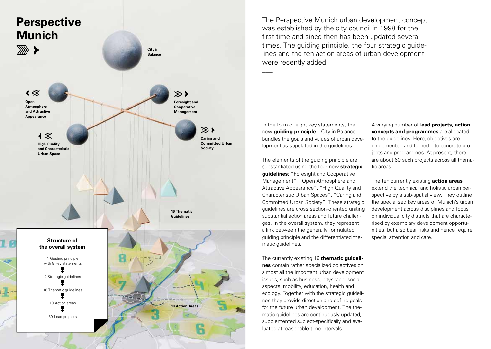

The Perspective Munich urban development concept was established by the city council in 1998 for the first time and since then has been updated several times. The guiding principle, the four strategic guidelines and the ten action areas of urban development were recently added.  $\overline{\phantom{a}}$ 

In the form of eight key statements, the new **guiding principle** – City in Balance – bundles the goals and values of urban development as stipulated in the guidelines.

The elements of the guiding principle are substantiated using the four new **strategic guidelines**: "Foresight and Cooperative Management", "Open Atmosphere and Attractive Appearance", "High Quality and Characteristic Urban Spaces", "Caring and Committed Urban Society". These strategic guidelines are cross section-oriented uniting substantial action areas and future challenges. In the overall system, they represent a link between the generally formulated guiding principle and the differentiated thematic guidelines.

The currently existing 16 **thematic guidelines** contain rather specialized objectives on almost all the important urban development issues, such as business, cityscape, social aspects, mobility, education, health and ecology. Together with the strategic guidelines they provide direction and define goals for the future urban development. The thematic guidelines are continuously updated, supplemented subject-specifically and evaluated at reasonable time intervals.

A varying number of l**ead projects, action concepts and programmes** are allocated to the guidelines. Here, objectives are implemented and turned into concrete projects and programmes. At present, there are about 60 such projects across all thematic areas.

The ten currently existing **action areas** extend the technical and holistic urban perspective by a sub-spatial view. They outline the specialised key areas of Munich's urban development across disciplines and focus on individual city districts that are characterised by exemplary development opportunities, but also bear risks and hence require special attention and care.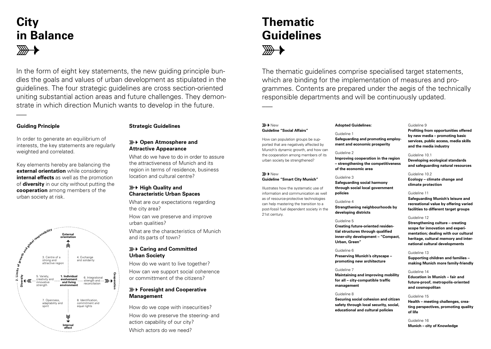## **City in Balance**

In the form of eight key statements, the new guiding principle bundles the goals and values of urban development as stipulated in the guidelines. The four strategic guidelines are cross section-oriented uniting substantial action areas and future challenges. They demonstrate in which direction Munich wants to develop in the future.

#### **Guiding Principle**

 $\overline{\phantom{a}}$ 

#### **Strategic Guidelines**

In order to generate an equilibrium of interests, the key statements are regularly weighted and correlated.

Key elements hereby are balancing the **external orientation** while considering **internal effects** as well as the promotion of **diversity** in our city without putting the **cooperation** among members of the urban society at risk.



## **Open Atmosphere and**

## **Attractive Appearance**

What do we have to do in order to assure the attractiveness of Munich and its region in terms of residence, business location and cultural centre?

#### $\mathbb{R}$  **+ High Quality and Characteristic Urban Spaces**

What are our expectations regarding the city area?

How can we preserve and improve urban qualities?

What are the characteristics of Munich and its parts of town?

#### **Caring and Committed Urban Society**

How do we want to live together?

How can we support social coherence or committment of the citizens?

#### **Foresight and Cooperative Management**

How do we cope with insecurities? How do we preserve the steering- and action capability of our city?

#### Which actors do we need?

## **Thematic Guidelines**

The thematic guidelines comprise specialised target statements, which are binding for the implementation of measures and programmes. Contents are prepared under the aegis of the technically responsible departments and will be continuously updated.  $\overline{\phantom{a}}$ 

#### *<del>■→</del>* New **Guideline "Social Affairs"**

How can population groups be supported that are negatively affected by Munich's dynamic growth, and how can the cooperation among members of its urban society be strengthened?

#### **E** New **Guideline "Smart City Munich"**

Illustrates how the systematic use of information and communication as well as of resource-protective technologies can help mastering the transition to a post-fossil fuel dependent society in the 21st century.

#### **Adopted Guidelines:**

Guideline 1

**Safeguarding and promoting employment and economic prosperity**

#### Guideline 2

**Improving cooperation in the region – strengthening the competitiveness of the economic area**

#### Guideline 3

**Safeguarding social harmony through social local government policies**

#### Guideline 4

**Strengthening neighbourhoods by developing districts** 

#### Guideline 5

**Creating future-oriented residential structures through qualified inner-city development – "Compact, Urban, Green"**

#### Guideline 6

**Preserving Munich's cityscape – promoting new architecture**

#### Guideline 7

**Maintaining and improving mobility for all – city-compatible traffic management**

#### Guideline 8

**Securing social cohesion and citizen safety through local security, social, educational and cultural policies**

#### Guideline 9

**Profiting from opportunities offered by new media – promoting basic services, public access, media skills and the media industry**

#### Guideline 10.1

**Developing ecological standards and safeguarding natural resources**

#### Guideline 10.2

**Ecology – climate change and climate protection**

#### Guideline 11

**Safeguarding Munich's leisure and recreational value by offering varied facilities to different target groups**

#### Guideline 12

**Strengthening culture – creating scope for innovation and experimentation; dealing with our cultural heritage, cultural memory and international cultural developments**

#### Guideline 13

**Supporting children and families – making Munich more family-friendly**

#### Guideline 14

**Education in Munich – fair and future-proof, metropolis-oriented and cosmopolitan**

#### Guideline 15

**Health – meeting challenges, creating perspectives, promoting quality of life**

Guideline 16 **Munich – city of Knowledge**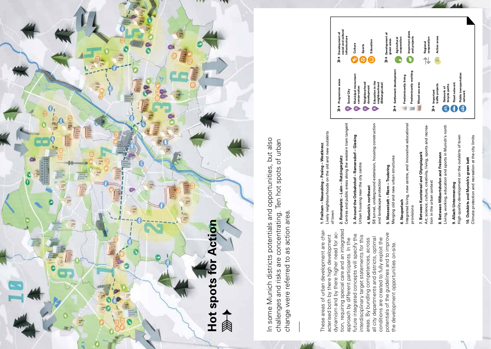

In some Munich districts potentials and opportunities, but also challenges and risks are concentrating. Ten hot spots of urban change were referred to as action area. **\_\_\_** In some Munich districts potentials and opportunities, but also challenges and risks are concentrating. Ten hot spots of urban change were referred to as action area.

These areas of urban development are chartion, requiring special care and an integrated tion, requiring special care and an integrated These areas of urban development are charpotentials of the guidelines and to improve dynamism and by there higher need for acpotentials of the guidelines and to improve dynamism and by there higher need for acfuture integrated concepts will specify the future integrated concepts will specify the acterised both by there high development acterised both by there high development interdisciplinary target statements for this interdisciplinary target statements for this all city departments and districts, optimal all city departments and districts, optimal approach by different participants. In the areas. By bundling competences, across conditions are created to fully exploit the approach by different participants. In the areas. By bundling competences, across conditions are created to fully exploit the the development opportunities on-site. the development opportunities on-site.

1. Freiham – Neuaubing – Pasing – Westkreuz<br>Lively neighbourhoods on the old and new outskirts Lively neighbourhoods on the old and new outskirts **1. Freiham – Neuaubing – Pasing – Westkreuz** of town **2. Romanplatz – Laim – Ratzingerplatz**<br>Centres and public areas along the western tram tangent Centres and public areas along the western tram tangent **2. Romanplatz – Laim – Ratzingerplatz**

3. Around the Ostbahnhof - Ramersdorf - Giesing **3. Around the Ostbahnhof – Ramersdorf – Giesing**

Urban housing near the city centre Urban housing near the city centre

S8 tunnel, underground extension, housing construction S8 tunnel, underground extension, housing construction and landscape protection and landscape protection 4. Munich's northeast **4. Munich's northeast**

5. Messestadt - Riem - Trudering **5. Messestadt – Riem – Trudering**

Merging old and new urban structures Merging old and new urban structures

6. Neuperlach **6. Neuperlach**

Integrated living, new centre, and innovative educational Integrated living, new centre, and innovative educational provisions provisions

Art, science, culture, creativity, living, sports and recrea-7. Between Kunstareal and Olympiapark **7. Between Kunstareal and Olympiapark** tion in the urban context

8. Between Milbertshofen and Freimann **8. Between Milbertshofen and Freimann**

Living, working, education and sports in Munich's north Living, working, education and sports in Munich's north 9. Allach-Untermenzing **9. Allach-Untermenzing**

10. Outskirts and Munich's green belt<br>Climate protection and recreation at the city limits High quality development on the outskirts of town High quality development on the outskirts of town **10. Outskirts and Munich's green belt**

Climate protection and recreation at the city limits